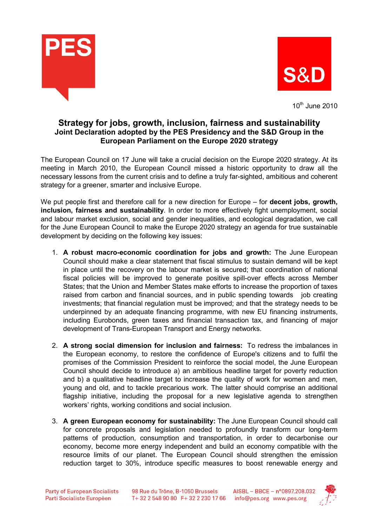



 $10^{th}$  June 2010

## Strategy for jobs, growth, inclusion, fairness and sustainability Joint Declaration adopted by the PES Presidency and the S&D Group in the European Parliament on the Europe 2020 strategy

The European Council on 17 June will take a crucial decision on the Europe 2020 strategy. At its meeting in March 2010, the European Council missed a historic opportunity to draw all the necessary lessons from the current crisis and to define a truly far-sighted, ambitious and coherent strategy for a greener, smarter and inclusive Europe.

We put people first and therefore call for a new direction for Europe – for **decent jobs, growth,** inclusion, fairness and sustainability. In order to more effectively fight unemployment, social and labour market exclusion, social and gender inequalities, and ecological degradation, we call for the June European Council to make the Europe 2020 strategy an agenda for true sustainable development by deciding on the following key issues:

- 1. A robust macro-economic coordination for jobs and growth: The June European Council should make a clear statement that fiscal stimulus to sustain demand will be kept in place until the recovery on the labour market is secured; that coordination of national fiscal policies will be improved to generate positive spill-over effects across Member States; that the Union and Member States make efforts to increase the proportion of taxes raised from carbon and financial sources, and in public spending towards job creating investments; that financial regulation must be improved; and that the strategy needs to be underpinned by an adequate financing programme, with new EU financing instruments, including Eurobonds, green taxes and financial transaction tax, and financing of major development of Trans-European Transport and Energy networks.
- 2. A strong social dimension for inclusion and fairness: To redress the imbalances in the European economy, to restore the confidence of Europe's citizens and to fulfil the promises of the Commission President to reinforce the social model, the June European Council should decide to introduce a) an ambitious headline target for poverty reduction and b) a qualitative headline target to increase the quality of work for women and men, young and old, and to tackle precarious work. The latter should comprise an additional flagship initiative, including the proposal for a new legislative agenda to strengthen workers' rights, working conditions and social inclusion.
- 3. A green European economy for sustainability: The June European Council should call for concrete proposals and legislation needed to profoundly transform our long-term patterns of production, consumption and transportation, in order to decarbonise our economy, become more energy independent and build an economy compatible with the resource limits of our planet. The European Council should strengthen the emission reduction target to 30%, introduce specific measures to boost renewable energy and